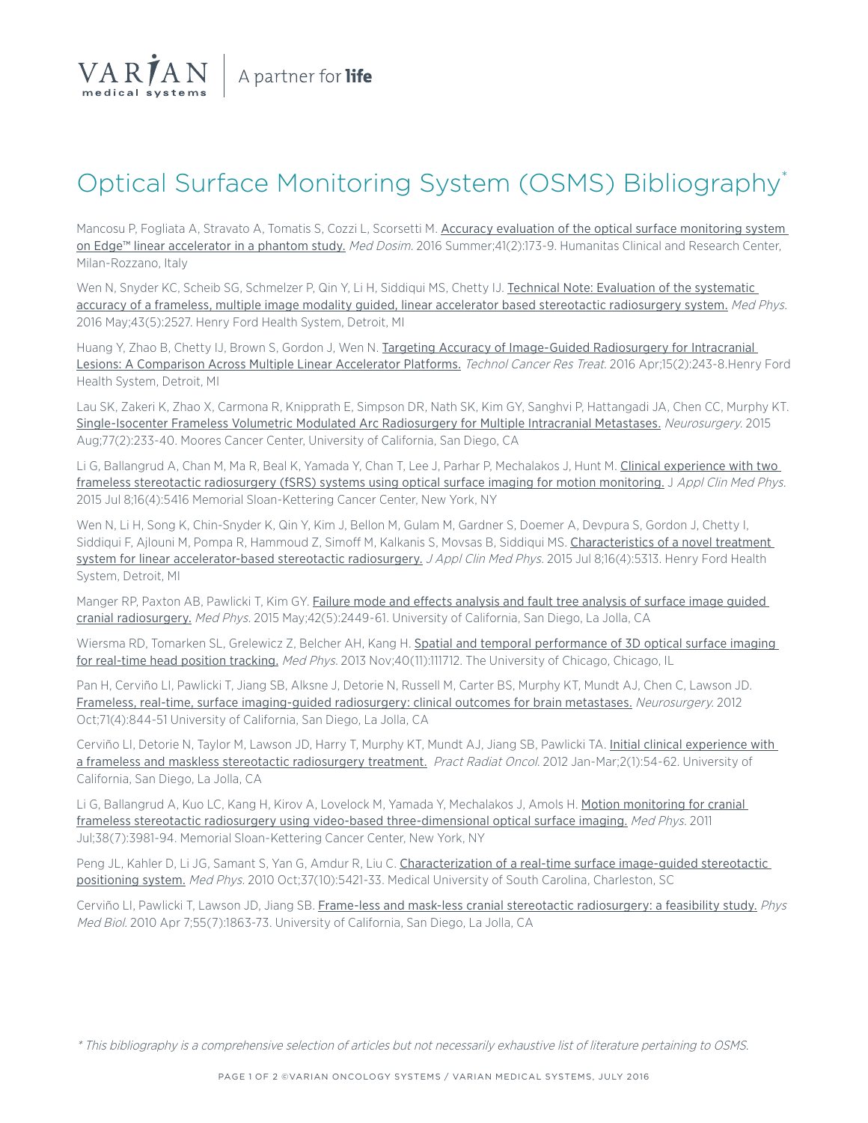

# Optical Surface Monitoring System (OSMS) Bibliography\*

Mancosu P, Fogliata A, Stravato A, Tomatis S, Cozzi L, Scorsetti M. Accuracy evaluation of the optical surface monitoring system [on Edge™ linear accelerator in a phantom study.](http://www.ncbi.nlm.nih.gov/pubmed/26994827) Med Dosim. 2016 Summer;41(2):173-9. Humanitas Clinical and Research Center, Milan-Rozzano, Italy

Wen N, Snyder KC, Scheib SG, Schmelzer P, Qin Y, Li H, Siddiqui MS, Chetty IJ. [Technical Note: Evaluation of the systematic](http://www.ncbi.nlm.nih.gov/pubmed/27147363)  [accuracy of a frameless, multiple image modality guided, linear accelerator based stereotactic radiosurgery system.](http://www.ncbi.nlm.nih.gov/pubmed/27147363) Med Phys. 2016 May;43(5):2527. Henry Ford Health System, Detroit, MI

Huang Y, Zhao B, Chetty IJ, Brown S, Gordon J, Wen N. Targeting Accuracy of Image-Guided Radiosurgery for Intracranial [Lesions: A Comparison Across Multiple Linear Accelerator Platforms.](http://www.ncbi.nlm.nih.gov/pubmed/25759427) Technol Cancer Res Treat. 2016 Apr;15(2):243-8.Henry Ford Health System, Detroit, MI

Lau SK, Zakeri K, Zhao X, Carmona R, Knipprath E, Simpson DR, Nath SK, Kim GY, Sanghvi P, Hattangadi JA, Chen CC, Murphy KT. [Single-Isocenter Frameless Volumetric Modulated Arc Radiosurgery for Multiple Intracranial Metastases.](http://www.ncbi.nlm.nih.gov/pubmed/25856109) Neurosurgery. 2015 Aug;77(2):233-40. Moores Cancer Center, University of California, San Diego, CA

Li G, Ballangrud A, Chan M, Ma R, Beal K, Yamada Y, Chan T, Lee J, Parhar P, Mechalakos J, Hunt M. [Clinical experience with two](http://www.ncbi.nlm.nih.gov/pubmed/26219007)  [frameless stereotactic radiosurgery \(fSRS\) systems using optical surface imaging for motion monitoring.](http://www.ncbi.nlm.nih.gov/pubmed/26219007) J Appl Clin Med Phys. 2015 Jul 8;16(4):5416 Memorial Sloan-Kettering Cancer Center, New York, NY

Wen N, Li H, Song K, Chin-Snyder K, Qin Y, Kim J, Bellon M, Gulam M, Gardner S, Doemer A, Devpura S, Gordon J, Chetty I, Siddiqui F, Ajlouni M, Pompa R, Hammoud Z, Simoff M, Kalkanis S, Movsas B, Siddiqui MS. Characteristics of a novel treatment [system for linear accelerator-based stereotactic radiosurgery.](http://www.ncbi.nlm.nih.gov/pubmed/26218998) J Appl Clin Med Phys. 2015 Jul 8;16(4):5313. Henry Ford Health System, Detroit, MI

Manger RP, Paxton AB, Pawlicki T, Kim GY. Failure mode and effects analysis and fault tree analysis of surface image guided [cranial radiosurgery.](http://www.ncbi.nlm.nih.gov/pubmed/25979038) Med Phys. 2015 May;42(5):2449-61. University of California, San Diego, La Jolla, CA

Wiersma RD, Tomarken SL, Grelewicz Z, Belcher AH, Kang H. [Spatial and temporal performance of 3D optical surface imaging](http://www.ncbi.nlm.nih.gov/pubmed/24320420)  [for real-time head position tracking.](http://www.ncbi.nlm.nih.gov/pubmed/24320420) Med Phys. 2013 Nov;40(11):111712. The University of Chicago, Chicago, IL

Pan H, Cerviño LI, Pawlicki T, Jiang SB, Alksne J, Detorie N, Russell M, Carter BS, Murphy KT, Mundt AJ, Chen C, Lawson JD. [Frameless, real-time, surface imaging-guided radiosurgery: clinical outcomes for brain metastases.](http://www.ncbi.nlm.nih.gov/pubmed/22989959) Neurosurgery. 2012 Oct;71(4):844-51 University of California, San Diego, La Jolla, CA

Cerviño LI, Detorie N, Taylor M, Lawson JD, Harry T, Murphy KT, Mundt AJ, Jiang SB, Pawlicki TA. Initial clinical experience with [a frameless and maskless stereotactic radiosurgery treatment.](http://www.ncbi.nlm.nih.gov/pubmed/24674037) Pract Radiat Oncol. 2012 Jan-Mar;2(1):54-62. University of California, San Diego, La Jolla, CA

Li G, Ballangrud A, Kuo LC, Kang H, Kirov A, Lovelock M, Yamada Y, Mechalakos J, Amols H. Motion monitoring for cranial [frameless stereotactic radiosurgery using video-based three-dimensional optical surface imaging.](http://www.ncbi.nlm.nih.gov/pubmed/21858995) Med Phys. 2011 Jul;38(7):3981-94. Memorial Sloan-Kettering Cancer Center, New York, NY

Peng JL, Kahler D, Li JG, Samant S, Yan G, Amdur R, Liu C. Characterization of a real-time surface image-guided stereotactic [positioning system.](http://www.ncbi.nlm.nih.gov/pubmed/21089778) Med Phys. 2010 Oct;37(10):5421-33. Medical University of South Carolina, Charleston, SC

Cerviño LI, Pawlicki T, Lawson JD, Jiang SB. [Frame-less and mask-less cranial stereotactic radiosurgery: a feasibility study.](http://www.ncbi.nlm.nih.gov/pubmed/20224158) Phys Med Biol. 2010 Apr 7;55(7):1863-73. University of California, San Diego, La Jolla, CA

\* This bibliography is a comprehensive selection of articles but not necessarily exhaustive list of literature pertaining to OSMS.